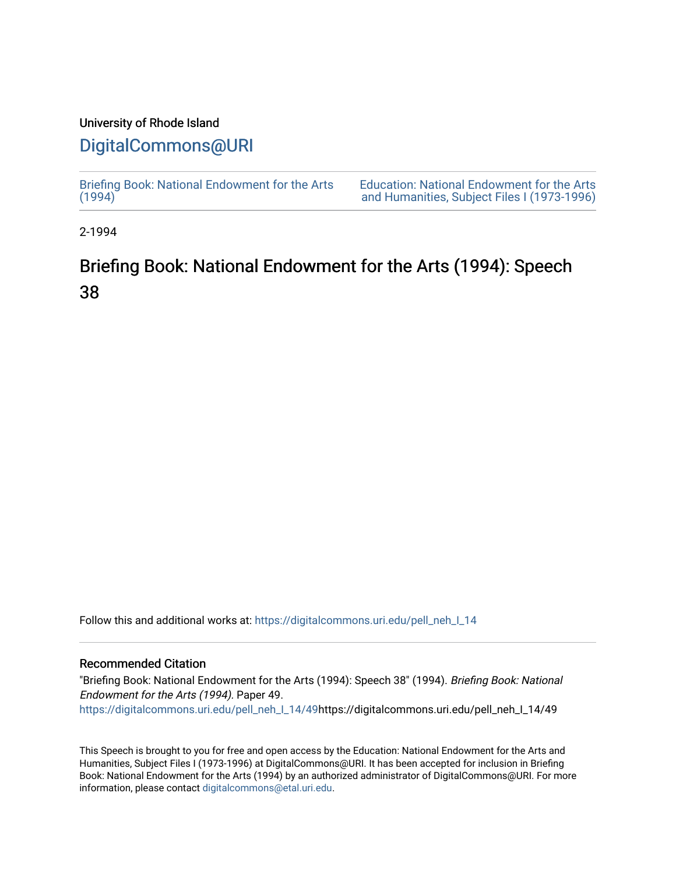# University of Rhode Island

# [DigitalCommons@URI](https://digitalcommons.uri.edu/)

[Briefing Book: National Endowment for the Arts](https://digitalcommons.uri.edu/pell_neh_I_14)  $(1994)$ [Education: National Endowment for the Arts](https://digitalcommons.uri.edu/pell_neh_I)  [and Humanities, Subject Files I \(1973-1996\)](https://digitalcommons.uri.edu/pell_neh_I) 

2-1994

# Briefing Book: National Endowment for the Arts (1994): Speech 38

Follow this and additional works at: [https://digitalcommons.uri.edu/pell\\_neh\\_I\\_14](https://digitalcommons.uri.edu/pell_neh_I_14?utm_source=digitalcommons.uri.edu%2Fpell_neh_I_14%2F49&utm_medium=PDF&utm_campaign=PDFCoverPages) 

# Recommended Citation

"Briefing Book: National Endowment for the Arts (1994): Speech 38" (1994). Briefing Book: National Endowment for the Arts (1994). Paper 49. [https://digitalcommons.uri.edu/pell\\_neh\\_I\\_14/49h](https://digitalcommons.uri.edu/pell_neh_I_14/49?utm_source=digitalcommons.uri.edu%2Fpell_neh_I_14%2F49&utm_medium=PDF&utm_campaign=PDFCoverPages)ttps://digitalcommons.uri.edu/pell\_neh\_I\_14/49

This Speech is brought to you for free and open access by the Education: National Endowment for the Arts and Humanities, Subject Files I (1973-1996) at DigitalCommons@URI. It has been accepted for inclusion in Briefing Book: National Endowment for the Arts (1994) by an authorized administrator of DigitalCommons@URI. For more information, please contact [digitalcommons@etal.uri.edu.](mailto:digitalcommons@etal.uri.edu)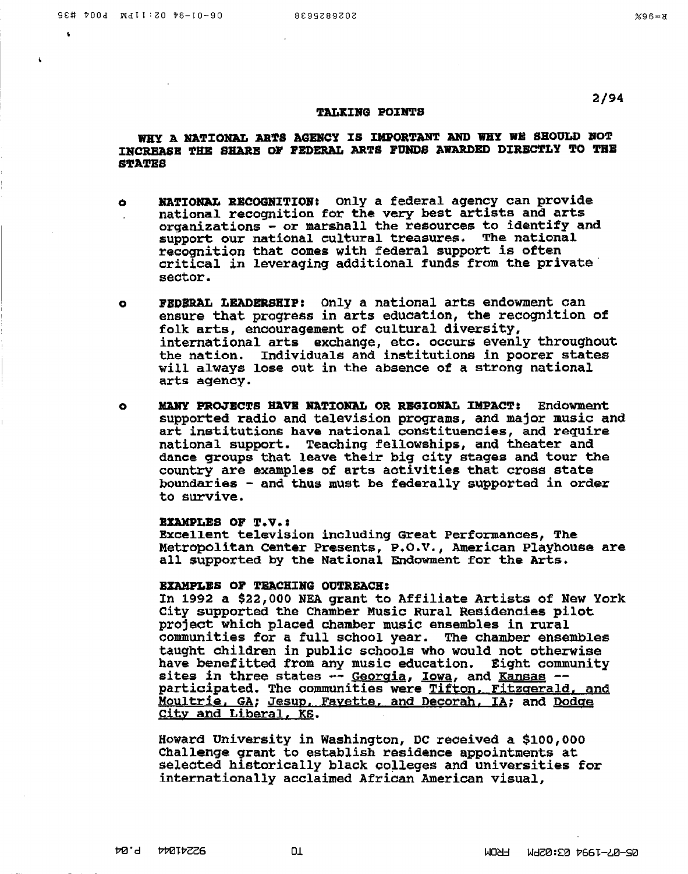### 2/94

#### TALKING POINTS

# WHY A NATIONAL ARTS AGENCY IS IMPORTANT AND WHY WE SHOULD NOT INCREASE THE SHARE OF PEDERAL ARTS FUNDS AWARDED DIRECTLY TO THE STA'l'BS

- o MATIONAL RECOGNITION: Only a federal agency can provide national recognition for the very best artists and arts orqanizations - or marshall the resources to identify and support our national cultural treasures. The national recognition that comes with federal support is often critical in leveraging additional funds from the private· sector.
- o FBDBRAL LEADERSJIIP: Only a national arts endowment can ensure that progress in arts education, the recoqnition of folk arts, encouragement of cultural diversity, international arts exchange, etc. occurs evenly throuqhout the nation. Individuals and institutions in poorer states will always lose out in the absence of a strong national arts agency.
- **0 MANY PROJECTS HAVE NATIONAL OR REGIONAL IMPACT:** Endowment supported radio and television proqrams, and major music and art institutions have national constituencies, and require national support. Teaching fellowships, and theater and dance groups that leave their big city stages and tour the country are examples of arts activities that cross state boundaries - and thus must be federally supported in order to survive.

#### BYAMPLES OF T.V.:

Excellent television including Great Performances, The Metropolitan Center Presents, P.O.V., American Playhouse are all supported by the National Endowment for the Arts.

#### BXAMPLBS OF TEACHIBG OUTREACH:

ln 1992 a \$22,000 NEA grant to Affiliate Artists of New York City supported the Chamber Music Rural Residencies pilot project which placed chamber music ensembles in rural communities for a full school year. The chamber ensembles taught children in public schools who would not otherwise have benefitted from any music education. Eight community sites in three states  $-$ - Georgia, Iowa, and Kansas  $-$ participated. The communities were Tifton. Fitzgerald, and Moultrie, GA; Jesup, Fayette, and Decorah, IA; and Dodge City and Liberal, KS.

Howard University in Washington, DC received a \$100,000 Challenqe grant to establish residence appointments at selected historically black colleges and universities for internationally acclaimed African American visual,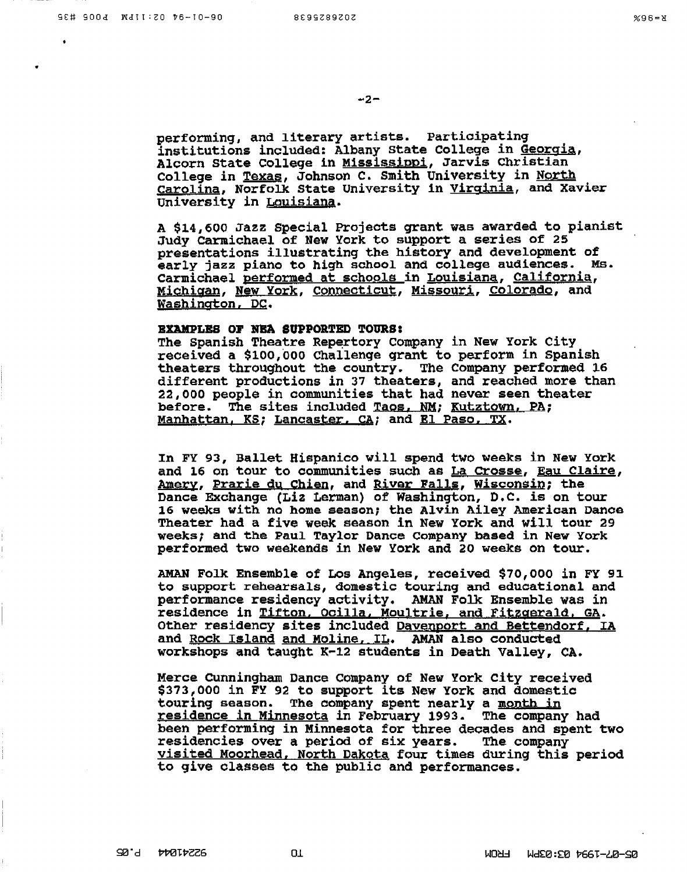performing, and literary artists. Participating institutions included: Albany State College in Georgia, Alcorn State College in Mississippi, Jarvis Christian College in Texas, Johnson c. Smith University in North Carolina, Norfolk State University in Virginia, and Xavier University in Louisiana.

A \$14,600 Jazz Special Projects grant was awarded to pianist Judy carmichael of New York to support a series of 25 presentations illustrating the history and development of early jazz piano to high school and college audiences. Ms. Carmichael performed at schools in Louisiana, California, MiQhigan, New York, Connecticut, Missouri, Colorado, and Washington, DC.

#### BXAMPLBS OJ' NBA SUPPORTED TOURS:

The Spanish Theatre Repertory Company in New York City received a \$100,000 Challenge grant to perform in Spanish theaters throughout the country. The Company performed 16 different productions in 37 theaters, and reached more than 22,000 people in communities that had never seen theater before. The sites included Taos, NM; Kutztown, PA; Manhattan, KS; Lancaster, CA; and El Paso, TX.

In FY 93, Ballet Hispanico will spend two weeks in New York and 16 on tour to communities such as La Crosse, Eau Claire, <u>Amery, Prarie du Chien,</u> and <u>River Falls</u>, <u>Wisconsin;</u> the Dance Exchange (Liz Lerman) of Washington, D.C. is on tour 16 weeks with no home season; the Alvin Ailey American Danca Theater had a five week season in New York and will tour 29 weeks; and the Paul Taylor Dance Company based in New York performed two weekends in New York and 20 weeks on tour.

AMAN Folk Ensemble of Los Angeles, received \$70,000 in FY 91 to support rehearsals, domestic touring and educational and performance residency activity. AMAN Folk Ensemble was in residence in Tifton. Ocilla, Moultrie, and Fitzgerald, GA. Other residency sites included Davenport and Bettendorf, *IA*  and Rock Island and Moline, IL. AMAN also conducted workshops and taught x-12 students in Death Valley, CA.

Merce CUnningham Dance company of New York city received \$373,000 in FY 92 to support its New York and domestic touring season. The company spent nearly a month in residence in Minnesota in February 1993. The company had been performing in Minnesota for three decades and spent two residencies over a period of six years. The company visited Moorhead, North Dakota four times during this period to give classes to the public and performances.